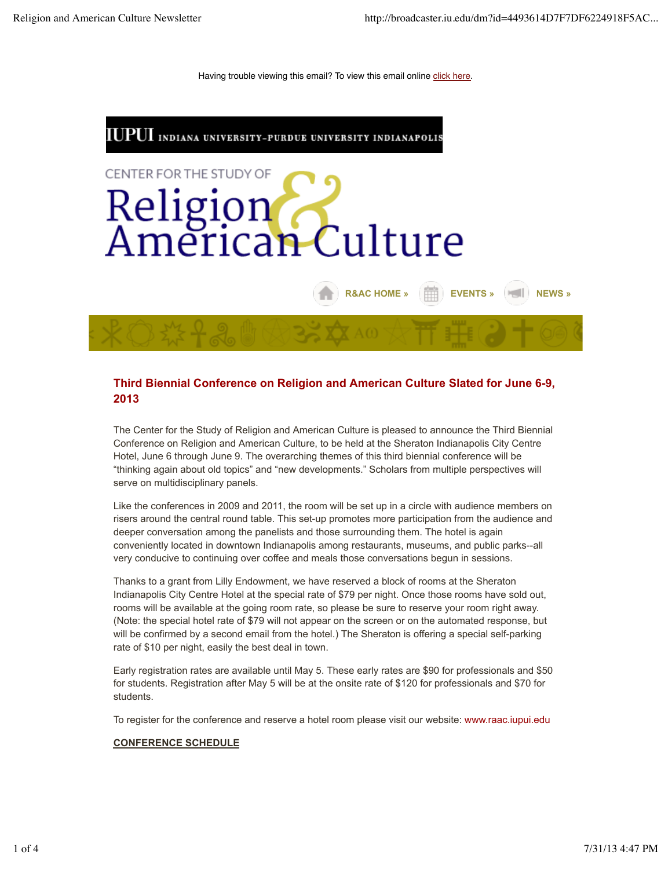Having trouble viewing this email? To view this email online click here.



# **Third Biennial Conference on Religion and American Culture Slated for June 6-9, 2013**

The Center for the Study of Religion and American Culture is pleased to announce the Third Biennial Conference on Religion and American Culture, to be held at the Sheraton Indianapolis City Centre Hotel, June 6 through June 9. The overarching themes of this third biennial conference will be "thinking again about old topics" and "new developments." Scholars from multiple perspectives will serve on multidisciplinary panels.

Like the conferences in 2009 and 2011, the room will be set up in a circle with audience members on risers around the central round table. This set-up promotes more participation from the audience and deeper conversation among the panelists and those surrounding them. The hotel is again conveniently located in downtown Indianapolis among restaurants, museums, and public parks--all very conducive to continuing over coffee and meals those conversations begun in sessions.

Thanks to a grant from Lilly Endowment, we have reserved a block of rooms at the Sheraton Indianapolis City Centre Hotel at the special rate of \$79 per night. Once those rooms have sold out, rooms will be available at the going room rate, so please be sure to reserve your room right away. (Note: the special hotel rate of \$79 will not appear on the screen or on the automated response, but will be confirmed by a second email from the hotel.) The Sheraton is offering a special self-parking rate of \$10 per night, easily the best deal in town.

Early registration rates are available until May 5. These early rates are \$90 for professionals and \$50 for students. Registration after May 5 will be at the onsite rate of \$120 for professionals and \$70 for students.

To register for the conference and reserve a hotel room please visit our website: www.raac.iupui.edu

#### **CONFERENCE SCHEDULE**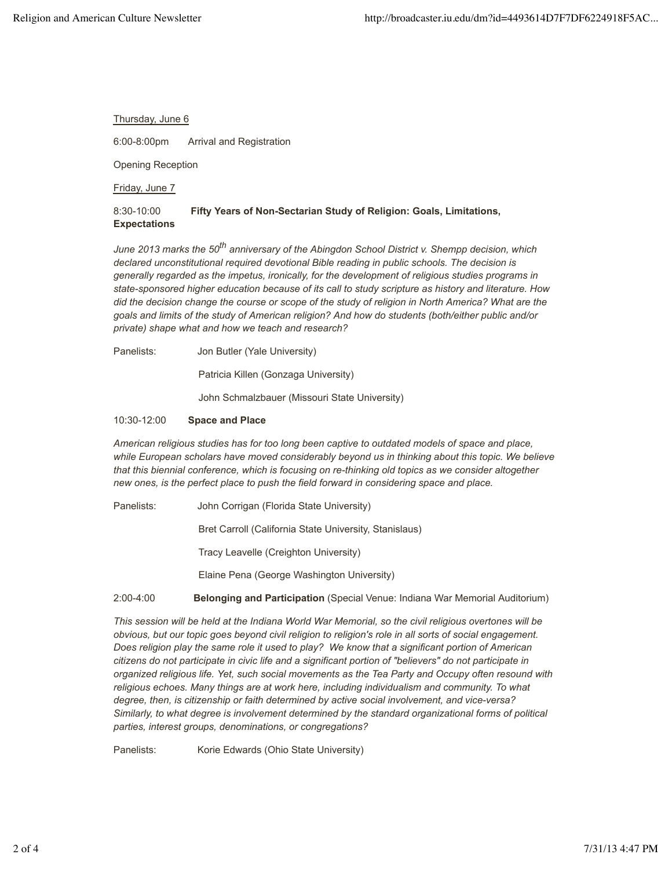#### Thursday, June 6

6:00-8:00pm Arrival and Registration

Opening Reception

Friday, June 7

# 8:30-10:00 **Fifty Years of Non-Sectarian Study of Religion: Goals, Limitations, Expectations**

*June 2013 marks the 50th anniversary of the Abingdon School District v. Shempp decision, which declared unconstitutional required devotional Bible reading in public schools. The decision is generally regarded as the impetus, ironically, for the development of religious studies programs in state-sponsored higher education because of its call to study scripture as history and literature. How did the decision change the course or scope of the study of religion in North America? What are the goals and limits of the study of American religion? And how do students (both/either public and/or private) shape what and how we teach and research?*

Panelists: Jon Butler (Yale University)

Patricia Killen (Gonzaga University)

John Schmalzbauer (Missouri State University)

#### 10:30-12:00 **Space and Place**

*American religious studies has for too long been captive to outdated models of space and place, while European scholars have moved considerably beyond us in thinking about this topic. We believe that this biennial conference, which is focusing on re-thinking old topics as we consider altogether new ones, is the perfect place to push the field forward in considering space and place.*

Panelists: John Corrigan (Florida State University)

Bret Carroll (California State University, Stanislaus)

Tracy Leavelle (Creighton University)

Elaine Pena (George Washington University)

2:00-4:00 **Belonging and Participation** (Special Venue: Indiana War Memorial Auditorium)

*This session will be held at the Indiana World War Memorial, so the civil religious overtones will be obvious, but our topic goes beyond civil religion to religion's role in all sorts of social engagement. Does religion play the same role it used to play? We know that a significant portion of American citizens do not participate in civic life and a significant portion of "believers" do not participate in organized religious life. Yet, such social movements as the Tea Party and Occupy often resound with religious echoes. Many things are at work here, including individualism and community. To what degree, then, is citizenship or faith determined by active social involvement, and vice-versa? Similarly, to what degree is involvement determined by the standard organizational forms of political parties, interest groups, denominations, or congregations?*

Panelists: Korie Edwards (Ohio State University)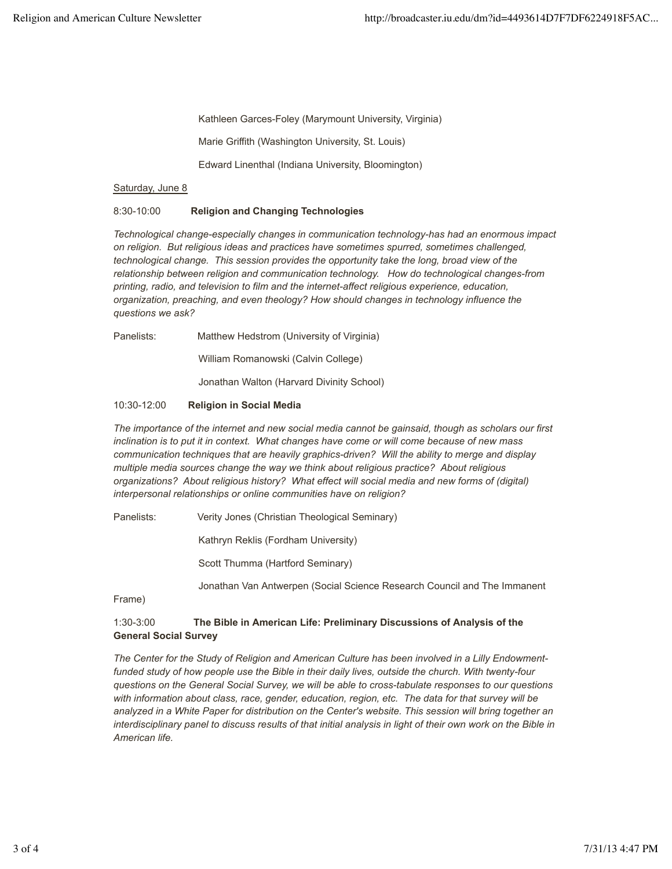Kathleen Garces-Foley (Marymount University, Virginia)

Marie Griffith (Washington University, St. Louis)

Edward Linenthal (Indiana University, Bloomington)

#### Saturday, June 8

## 8:30-10:00 **Religion and Changing Technologies**

*Technological change-especially changes in communication technology-has had an enormous impact on religion. But religious ideas and practices have sometimes spurred, sometimes challenged, technological change. This session provides the opportunity take the long, broad view of the relationship between religion and communication technology. How do technological changes-from printing, radio, and television to film and the internet-affect religious experience, education, organization, preaching, and even theology? How should changes in technology influence the questions we ask?*

Panelists: Matthew Hedstrom (University of Virginia)

William Romanowski (Calvin College)

Jonathan Walton (Harvard Divinity School)

#### 10:30-12:00 **Religion in Social Media**

*The importance of the internet and new social media cannot be gainsaid, though as scholars our first inclination is to put it in context. What changes have come or will come because of new mass communication techniques that are heavily graphics-driven? Will the ability to merge and display multiple media sources change the way we think about religious practice? About religious organizations? About religious history? What effect will social media and new forms of (digital) interpersonal relationships or online communities have on religion?* 

Panelists: Verity Jones (Christian Theological Seminary)

Kathryn Reklis (Fordham University)

Scott Thumma (Hartford Seminary)

Jonathan Van Antwerpen (Social Science Research Council and The Immanent

Frame)

# 1:30-3:00 **The Bible in American Life: Preliminary Discussions of Analysis of the General Social Survey**

*The Center for the Study of Religion and American Culture has been involved in a Lilly Endowmentfunded study of how people use the Bible in their daily lives, outside the church. With twenty-four questions on the General Social Survey, we will be able to cross-tabulate responses to our questions with information about class, race, gender, education, region, etc. The data for that survey will be analyzed in a White Paper for distribution on the Center's website. This session will bring together an interdisciplinary panel to discuss results of that initial analysis in light of their own work on the Bible in American life.*